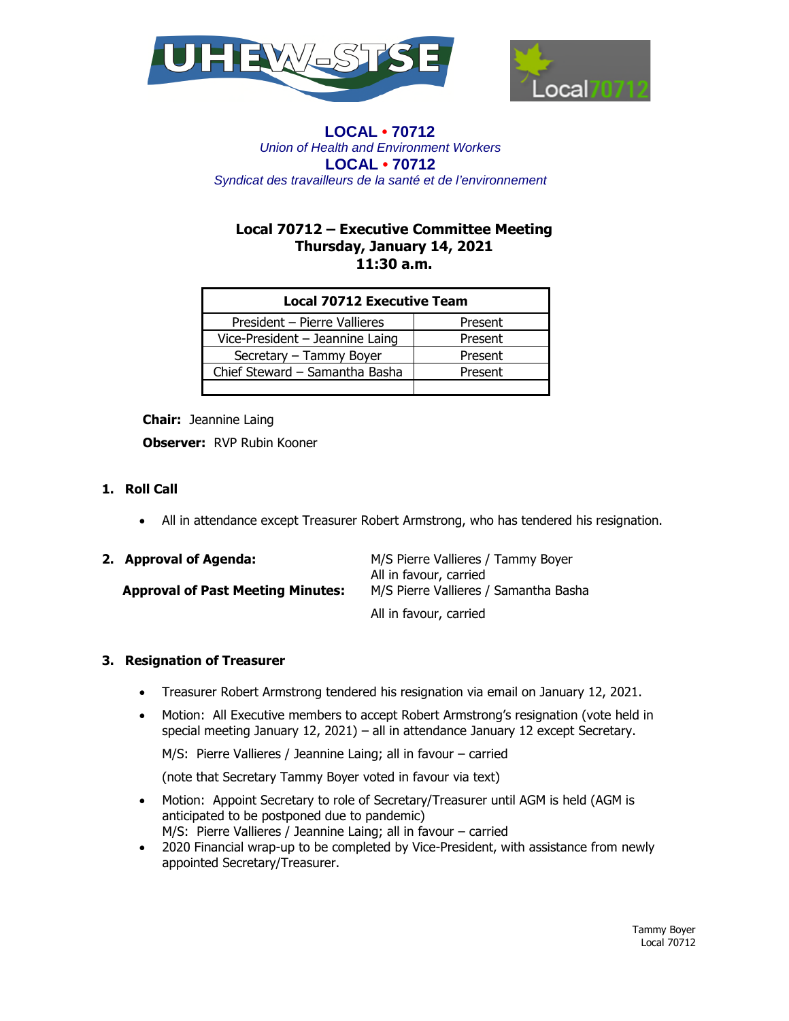



# **Local 70712 – Executive Committee Meeting Thursday, January 14, 2021 11:30 a.m.**

| <b>Local 70712 Executive Team</b> |         |
|-----------------------------------|---------|
| President - Pierre Vallieres      | Present |
| Vice-President - Jeannine Laing   | Present |
| Secretary - Tammy Boyer           | Present |
| Chief Steward - Samantha Basha    | Present |
|                                   |         |

**Chair:** Jeannine Laing **Observer:** RVP Rubin Kooner

# **1. Roll Call**

All in attendance except Treasurer Robert Armstrong, who has tendered his resignation.

| 2. Approval of Agenda:                   | M/S Pierre Vallieres / Tammy Boyer    |
|------------------------------------------|---------------------------------------|
|                                          | All in favour, carried                |
| <b>Approval of Past Meeting Minutes:</b> | M/S Pierre Vallieres / Samantha Basha |
|                                          | All in favour, carried                |

### **3. Resignation of Treasurer**

- Treasurer Robert Armstrong tendered his resignation via email on January 12, 2021.
- Motion: All Executive members to accept Robert Armstrong's resignation (vote held in special meeting January 12, 2021) – all in attendance January 12 except Secretary.

M/S: Pierre Vallieres / Jeannine Laing; all in favour – carried

(note that Secretary Tammy Boyer voted in favour via text)

- Motion: Appoint Secretary to role of Secretary/Treasurer until AGM is held (AGM is anticipated to be postponed due to pandemic) M/S: Pierre Vallieres / Jeannine Laing; all in favour – carried
- 2020 Financial wrap-up to be completed by Vice-President, with assistance from newly appointed Secretary/Treasurer.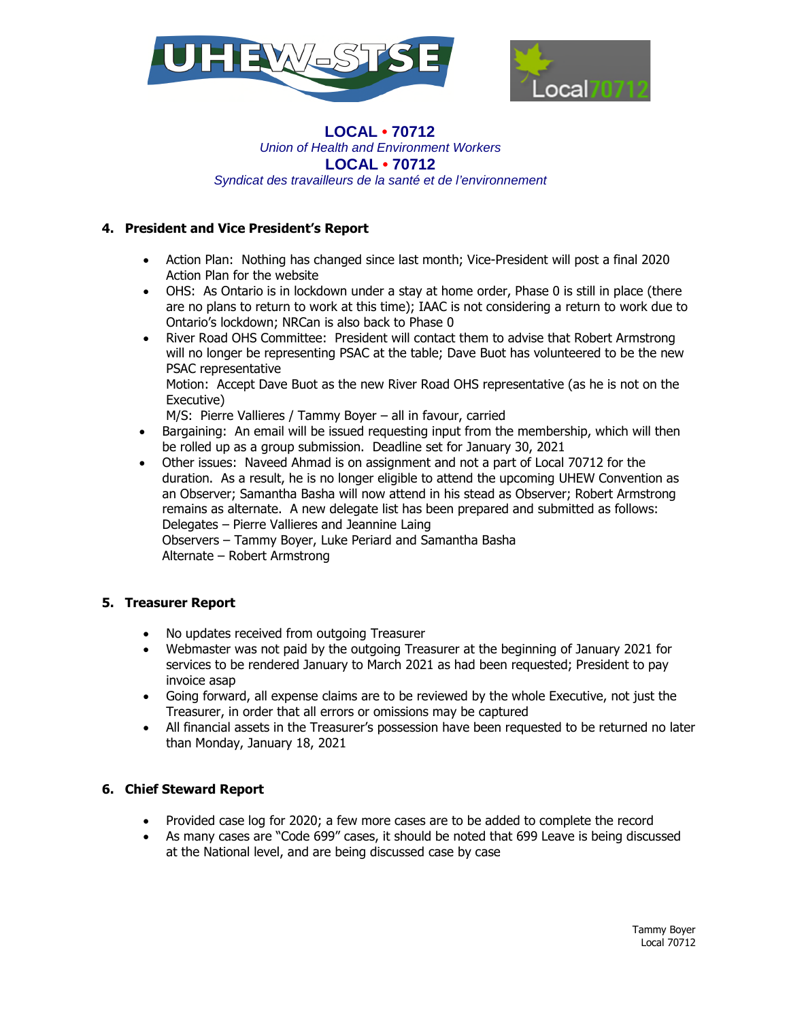



# **4. President and Vice President's Report**

- Action Plan: Nothing has changed since last month; Vice-President will post a final 2020 Action Plan for the website
- OHS: As Ontario is in lockdown under a stay at home order, Phase 0 is still in place (there are no plans to return to work at this time); IAAC is not considering a return to work due to Ontario's lockdown; NRCan is also back to Phase 0
- River Road OHS Committee: President will contact them to advise that Robert Armstrong will no longer be representing PSAC at the table; Dave Buot has volunteered to be the new PSAC representative

Motion: Accept Dave Buot as the new River Road OHS representative (as he is not on the Executive)

M/S: Pierre Vallieres / Tammy Boyer – all in favour, carried

- Bargaining: An email will be issued requesting input from the membership, which will then be rolled up as a group submission. Deadline set for January 30, 2021
- Other issues: Naveed Ahmad is on assignment and not a part of Local 70712 for the duration. As a result, he is no longer eligible to attend the upcoming UHEW Convention as an Observer; Samantha Basha will now attend in his stead as Observer; Robert Armstrong remains as alternate. A new delegate list has been prepared and submitted as follows: Delegates – Pierre Vallieres and Jeannine Laing Observers – Tammy Boyer, Luke Periard and Samantha Basha

Alternate – Robert Armstrong

### **5. Treasurer Report**

- No updates received from outgoing Treasurer
- Webmaster was not paid by the outgoing Treasurer at the beginning of January 2021 for services to be rendered January to March 2021 as had been requested; President to pay invoice asap
- Going forward, all expense claims are to be reviewed by the whole Executive, not just the Treasurer, in order that all errors or omissions may be captured
- All financial assets in the Treasurer's possession have been requested to be returned no later than Monday, January 18, 2021

### **6. Chief Steward Report**

- Provided case log for 2020; a few more cases are to be added to complete the record
- As many cases are "Code 699" cases, it should be noted that 699 Leave is being discussed at the National level, and are being discussed case by case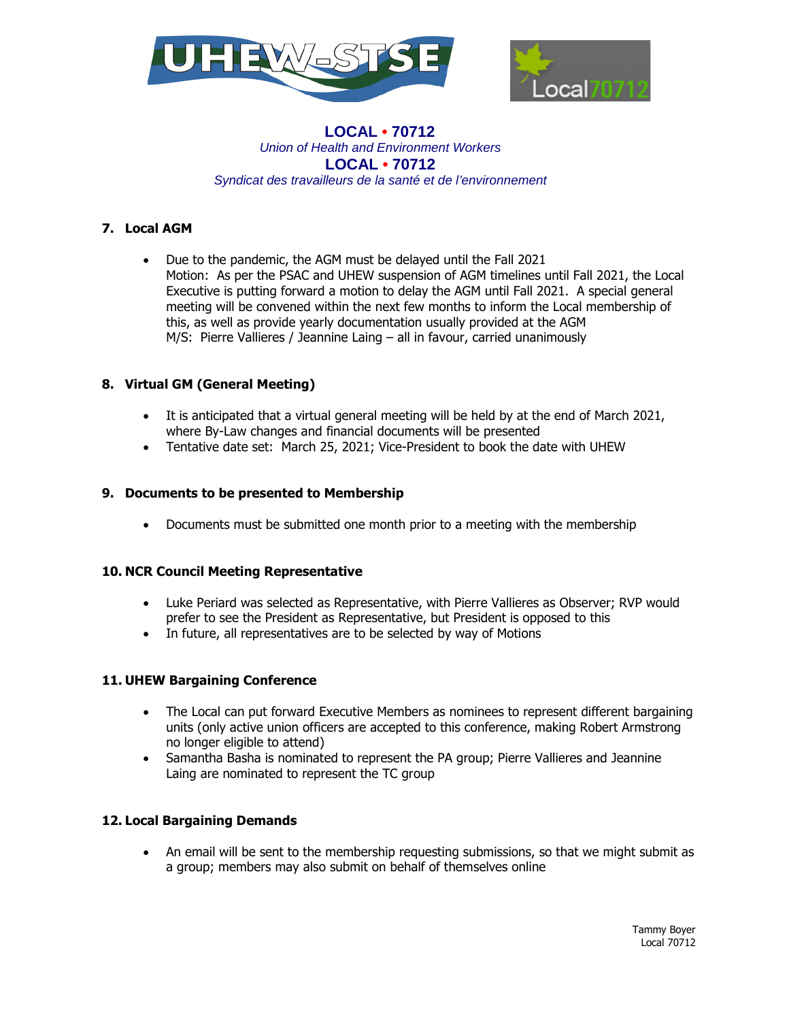



## **7. Local AGM**

 Due to the pandemic, the AGM must be delayed until the Fall 2021 Motion: As per the PSAC and UHEW suspension of AGM timelines until Fall 2021, the Local Executive is putting forward a motion to delay the AGM until Fall 2021. A special general meeting will be convened within the next few months to inform the Local membership of this, as well as provide yearly documentation usually provided at the AGM M/S: Pierre Vallieres / Jeannine Laing – all in favour, carried unanimously

## **8. Virtual GM (General Meeting)**

- It is anticipated that a virtual general meeting will be held by at the end of March 2021, where By-Law changes and financial documents will be presented
- Tentative date set: March 25, 2021; Vice-President to book the date with UHEW

### **9. Documents to be presented to Membership**

Documents must be submitted one month prior to a meeting with the membership

### **10. NCR Council Meeting Representative**

- Luke Periard was selected as Representative, with Pierre Vallieres as Observer; RVP would prefer to see the President as Representative, but President is opposed to this
- In future, all representatives are to be selected by way of Motions

# **11. UHEW Bargaining Conference**

- The Local can put forward Executive Members as nominees to represent different bargaining units (only active union officers are accepted to this conference, making Robert Armstrong no longer eligible to attend)
- Samantha Basha is nominated to represent the PA group; Pierre Vallieres and Jeannine Laing are nominated to represent the TC group

### **12. Local Bargaining Demands**

 An email will be sent to the membership requesting submissions, so that we might submit as a group; members may also submit on behalf of themselves online